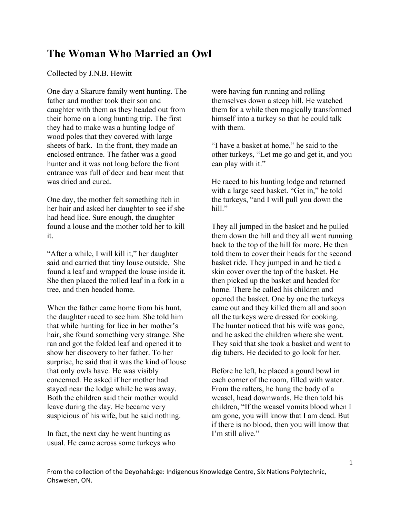## **The Woman Who Married an Owl**

Collected by J.N.B. Hewitt

One day a Skarure family went hunting. The father and mother took their son and daughter with them as they headed out from their home on a long hunting trip. The first they had to make was a hunting lodge of wood poles that they covered with large sheets of bark. In the front, they made an enclosed entrance. The father was a good hunter and it was not long before the front entrance was full of deer and bear meat that was dried and cured.

One day, the mother felt something itch in her hair and asked her daughter to see if she had head lice. Sure enough, the daughter found a louse and the mother told her to kill it.

"After a while, I will kill it," her daughter said and carried that tiny louse outside. She found a leaf and wrapped the louse inside it. She then placed the rolled leaf in a fork in a tree, and then headed home.

When the father came home from his hunt, the daughter raced to see him. She told him that while hunting for lice in her mother's hair, she found something very strange. She ran and got the folded leaf and opened it to show her discovery to her father. To her surprise, he said that it was the kind of louse that only owls have. He was visibly concerned. He asked if her mother had stayed near the lodge while he was away. Both the children said their mother would leave during the day. He became very suspicious of his wife, but he said nothing.

In fact, the next day he went hunting as usual. He came across some turkeys who were having fun running and rolling themselves down a steep hill. He watched them for a while then magically transformed himself into a turkey so that he could talk with them.

"I have a basket at home," he said to the other turkeys, "Let me go and get it, and you can play with it."

He raced to his hunting lodge and returned with a large seed basket. "Get in," he told the turkeys, "and I will pull you down the hill."

They all jumped in the basket and he pulled them down the hill and they all went running back to the top of the hill for more. He then told them to cover their heads for the second basket ride. They jumped in and he tied a skin cover over the top of the basket. He then picked up the basket and headed for home. There he called his children and opened the basket. One by one the turkeys came out and they killed them all and soon all the turkeys were dressed for cooking. The hunter noticed that his wife was gone, and he asked the children where she went. They said that she took a basket and went to dig tubers. He decided to go look for her.

Before he left, he placed a gourd bowl in each corner of the room, filled with water. From the rafters, he hung the body of a weasel, head downwards. He then told his children, "If the weasel vomits blood when I am gone, you will know that I am dead. But if there is no blood, then you will know that I'm still alive."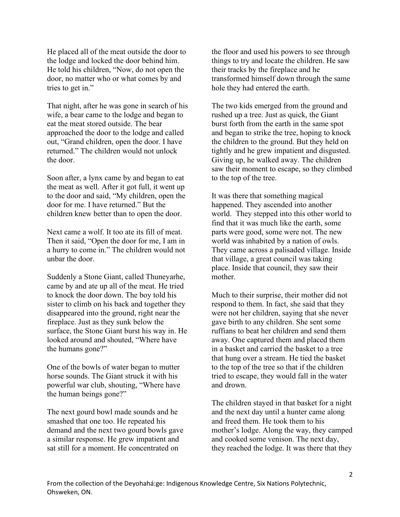He placed all of the meat outside the door to the lodge and locked the door behind him. He told his children, "Now, do not open the door, no matter who or what comes by and tries to get in."

That night, after he was gone in search of his wife, a bear came to the lodge and began to eat the meat stored outside. The bear approached the door to the lodge and called out, "Grand children, open the door. I have returned." The children would not unlock the door.

Soon after, a lynx came by and began to eat the meat as well. After it got full, it went up to the door and said, "My children, open the door for me. I have returned." But the children knew better than to open the door.

Next came a wolf. It too ate its fill of meat. Then it said, "Open the door for me, I am in a hurry to come in." The children would not unbar the door.

Suddenly a Stone Giant, called Thuneyarhe, came by and ate up all of the meat. He tried to knock the door down. The boy told his sister to climb on his back and together they disappeared into the ground, right near the fireplace. Just as they sunk below the surface, the Stone Giant burst his way in. He looked around and shouted, "Where have the humans gone?"

One of the bowls of water began to mutter horse sounds. The Giant struck it with his powerful war club, shouting, "Where have the human beings gone?"

The next gourd bowl made sounds and he smashed that one too. He repeated his demand and the next two gourd bowls gave a similar response. He grew impatient and sat still for a moment. He concentrated on

the floor and used his powers to see through things to try and locate the children. He saw their tracks by the fireplace and he transformed himself down through the same hole they had entered the earth.

The two kids emerged from the ground and rushed up a tree. Just as quick, the Giant burst forth from the earth in the same spot and began to strike the tree, hoping to knock the children to the ground. But they held on tightly and he grew impatient and disgusted. Giving up, he walked away. The children saw their moment to escape, so they climbed to the top of the tree.

It was there that something magical happened. They ascended into another world. They stepped into this other world to find that it was much like the earth, some parts were good, some were not. The new world was inhabited by a nation of owls. They came across a palisaded village. Inside that village, a great council was taking place. Inside that council, they saw their mother.

Much to their surprise, their mother did not respond to them. In fact, she said that they were not her children, saying that she never gave birth to any children. She sent some ruffians to beat her children and send them away. One captured them and placed them in a basket and carried the basket to a tree that hung over a stream. He tied the basket to the top of the tree so that if the children tried to escape, they would fall in the water and drown.

The children stayed in that basket for a night and the next day until a hunter came along and freed them. He took them to his mother's lodge. Along the way, they camped and cooked some venison. The next day, they reached the lodge. It was there that they